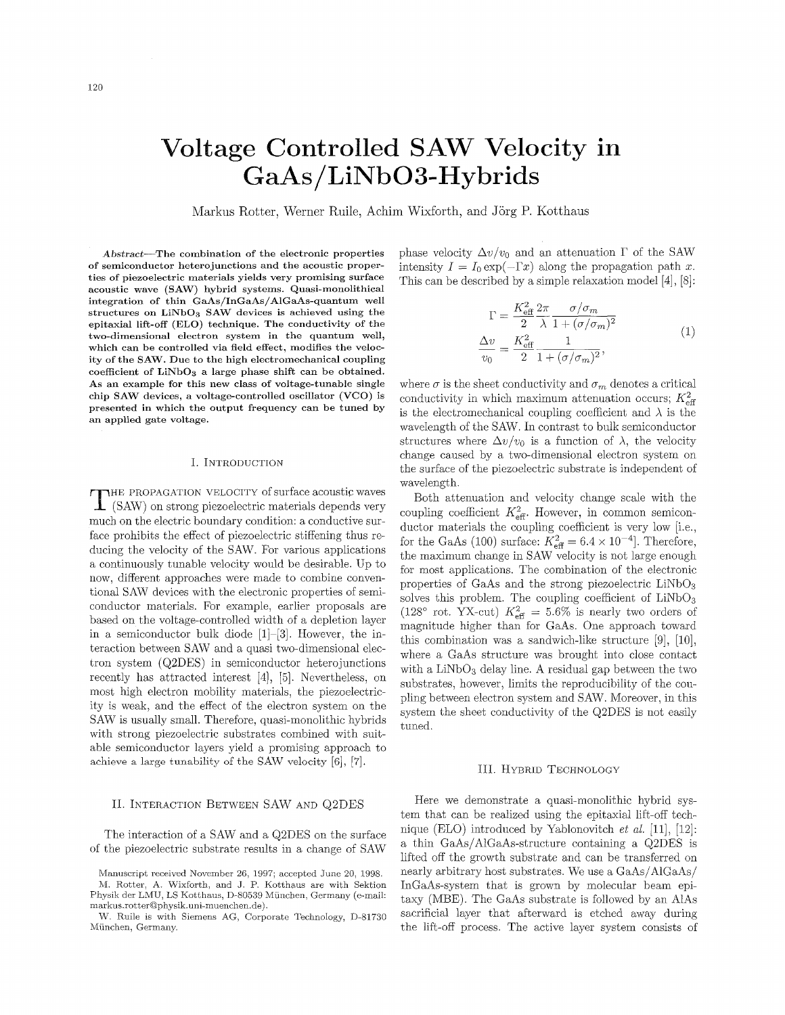# Voltage Controlled SAW Velocity in GaAs/LiNbO3-Hybrids

Markus Rotter, Werner Ruile, Achim Wixforth, and Jörg P. Kotthaus

**Abstract-The combination of the electronic properties of semiconductor heterojunctions and the acoustic properties of piezoelectric materials yields very promising surface acoustic wave (SAW) hybrid systems. Quasi-monolithical integration of thin GaAs/InGaAs/AlGaAs-quantum well structures on LiNbO3 SAW devices is achieved using the epitaxial lift-off (ELO) technique. The conductivity of the two-dimensional electron system in the quantum well, which can be controlled via field effect, modifies the velocity of the SAW. Due to the high electromechanical coupling coefficient of LiNbO3 a large phase shift can be obtained. As an example for this new class of voltage-tunable single chip SAW devices, a voltage-controlled oscillator (VCO) is presented in which the output frequency can be tuned by an applied gate voltage.**

#### I. INTRODUCTION

THE PROPAGATION VELOCITY of surface acoustic waves  $\mathbf{\mathbf{\perp}}$  (SAW) on strong piezoelectric materials depends very much on the electric boundary condition: a conductive surface prohibits the effect of piezoelectric stiffening thus reducing the velocity of the SAW. For various applications a continuously tunable velocity would be desirable. Up to now, different approaches were made to combine conventional SAW devices with the electronic properties of semiconductor materials. For example, earlier proposals are based on the voltage-controlled width of a depletion layer in a semiconductor bulk diode  $[1]-[3]$ . However, the interaction between SAW and a quasi two-dimensional electron system (Q2DES) in semiconductor heterojunctions recently has attracted interest [4], [5]. Nevertheless, on most high electron mobility materials, the piezoelectricity is weak, and the effect of the electron system on the SAWis usually small. Therefore, quasi-monolithic hybrids with strong piezoelectric substrates combined with suitable semiconductor layers yield a promising approach to **achieve** a **large** tunability of the SAW **velocity** [6],*[7].*

# II. INTERACTION BETWEEN SAW AND Q2DES

The interaction of a SAW and a Q2DES on the surface of the piezoelectric substrate results in a change of SAW phase velocity  $\Delta v/v_0$  and an attenuation  $\Gamma$  of the SAW intensity  $I = I_0 \exp(-\Gamma x)$  along the propagation path *x*.

This can be described by a simple relaxation model [4], [8]:  
\n
$$
\Gamma = \frac{K_{\text{eff}}^2}{2} \frac{2\pi}{\lambda} \frac{\sigma/\sigma_m}{1 + (\sigma/\sigma_m)^2}
$$
\n
$$
\frac{\Delta v}{v_0} = \frac{K_{\text{eff}}^2}{2} \frac{1}{1 + (\sigma/\sigma_m)^2},
$$
\n(1)

where  $\sigma$  is the sheet conductivity and  $\sigma_m$  denotes a critical conductivity in which maximum attenuation occurs;  $K_{\text{eff}}^2$ is the electromechanical coupling coefficient and  $\lambda$  is the wavelength of the SAW.In contrast to bulk semiconductor structures where  $\Delta v/v_0$  is a function of  $\lambda$ , the velocity change caused by a two-dimensional electron system on the surface of the piezoelectric substrate is independent of wavelength.

Both attenuation and velocity change scale with the coupling coefficient  $K_{\text{eff}}^2$ . However, in common semiconductor materials the coupling coefficient is very low [i.e., for the GaAs (100) surface:  $K_{\text{eff}}^2 = 6.4 \times 10^{-4}$ . Therefore, the maximum change in SAW velocity is not large enough for most applications. The combination of the electronic properties of GaAs and the strong piezoelectric LiNbOs solves this problem. The coupling coefficient of  $LiNbO<sub>3</sub>$ (128° rot. YX-cut)  $K_{\text{eff}}^2 = 5.6\%$  is nearly two orders of magnitude higher than for GaAs. One approach toward this combination was a sandwich-like structure  $[9]$ ,  $[10]$ , where a GaAs structure was brought into close contact with a  $LiNbO<sub>3</sub>$  delay line. A residual gap between the two substrates, however, limits the reproducibility of the coupling between electron system and SAW. Moreover, in this system the sheet conductivity of the Q2DES is not easily tuned.

## III. HYBRID TECHNOLOGY

Here we demonstrate a quasi-monolithic hybrid system that can be realized using the epitaxial lift-off technique (ELO) introduced by Yablonovitch *et al.* [11], [12]: a thin GaAs/AlGaAs-structure containing a Q2DES is lifted off the growth substrate and can be transferred on nearly arbitrary host substrates. We use a GaAs/AlGaAs/ InGaAs-system that is grown by molecular beam epitaxy (MBE). The GaAs substrate is followed by an AlAs sacrificial layer that afterward is etched away during the lift-off process. The active layer system consists of

Manuscript received November 26, 1997; accepted June 20, 1998. M. Rotter, A. Wixforth, and J. P. Kotthaus are with Sektion Physik der LMU, LS Kotthaus, D-80539 Miinchen, Germany (e-mail: markus.rotterQphysik.uni-muenchen.de.)

W. Ruile is with Siemens AG, Corporate Technology, D-81730 München, Germany.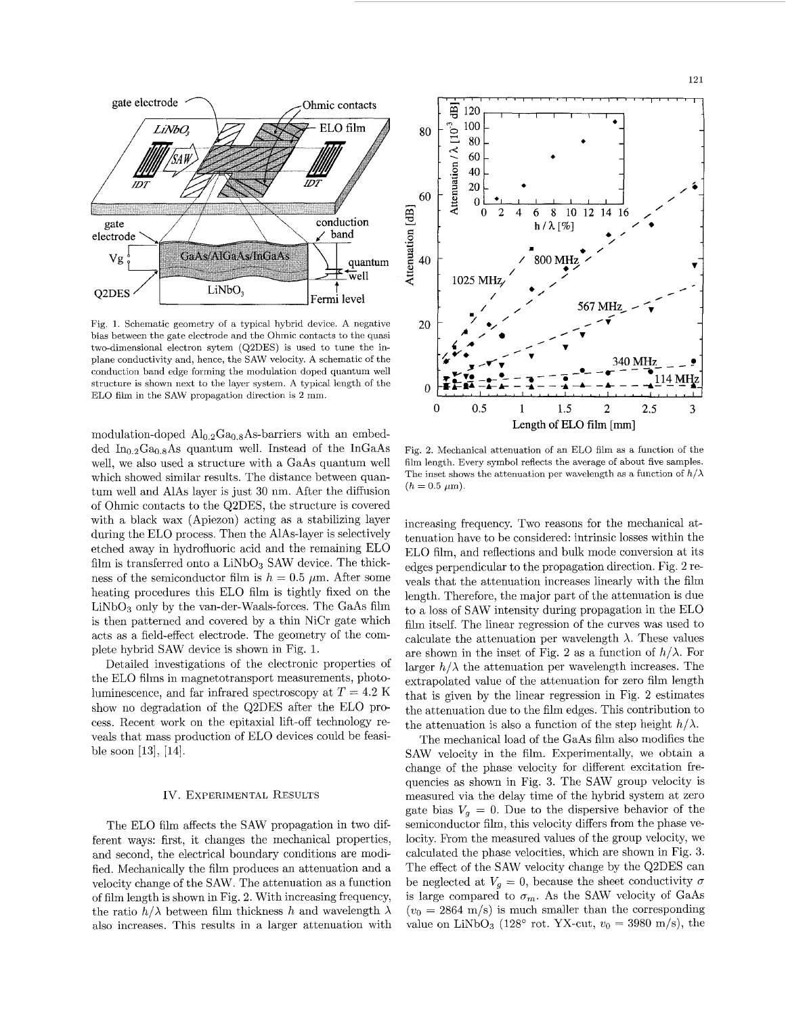

Fig, 1. Schematic geometry of a typical hybrid device. **A** negative bias between the gate electrode and the Ohmic contacts to the quasi two-dimensional electron sytem (Q2DES) is used to tune the inplane conductivity and, hence, the SAW velocity. **A** schematic of the conduction band edge forming the modulation doped quantum well structure is shown next to the layer system. **A** typical length of the EL0 film in the SAW propagation direction is 2 mm.

modulation-doped  $\mathrm{Al}_{0.2}\mathrm{Ga}_{0.8}\mathrm{As}\text{-barriers}$  with an embedded In<sub>0.2</sub>Ga<sub>0.8</sub>As quantum well. Instead of the InGaAs well, we also used a structure with a GaAs quantum well which showed similar results. The distance between quantum well and AlAs layer is just 30 nm. After the diffusion of Ohmic contacts to the Q2DES, the structure is covered with a black wax (Apiezon) acting as a stabilizing layer during the EL0 process. Then the AlAs-layer is selectively etched away in hydrofluoric acid and the remaining EL0 film is transferred onto a  $LiNbO<sub>3</sub>$  SAW device. The thickness of the semiconductor film is  $h = 0.5 \mu$ m. After some heating procedures this EL0 film is tightly fixed on the  $LiNbO<sub>3</sub>$  only by the van-der-Waals-forces. The GaAs film is then patterned and covered by a thin NiCr gate which acts as a field-effect electrode. The geometry of the complete hybrid SAW device is shown in Fig. 1.

Detailed investigations of the electronic properties of the EL0 films in magnetotransport measurements, photoluminescence, and far infrared spectroscopy at  $T = 4.2$  K show no degradation of the Q2DES after the EL0 process. Recent work on the epitaxial lift-off technology reveals that mass production of EL0 devices could be feasible soon **[13],**[14].

### IV. EXPERIMENTAL RESULTS

The EL0 film affects the SAW propagation in two different ways: first, it changes the mechanical properties, and second, the electrical boundary conditions are modified. Mechanically the film produces an attenuation and a velocity change of the SAW. The attenuation as a function of film length is shown in Fig. *2 .* With increasing frequency, the ratio  $h/\lambda$  between film thickness h and wavelength  $\lambda$ also increases. This results in a larger attenuation with



Fig. 2. Mechanical attenuation of an ELO film as a function of the film length. Every symbol reflects the average of about five samples. The inset shows the attenuation per wavelength as a function of  $h/\lambda$  $(h = 0.5 \mu m).$ 

increasing frequency. Two reasons for the mechanical attenuation have to be considered: intrinsic losses within the EL0 film, and reflections and bulk mode conversion at its edges perpendicular to the propagation direction. Fig. 2 reveals that the attenuation increases linearly with the film length. Therefore, the major part of the attenuation is due to a loss of SAW intensity during propagation in the EL0 film itself. The linear regression of the curves was used to calculate the attenuation per wavelength  $\lambda$ . These values are shown in the inset of Fig. 2 as a function of  $h/\lambda$ . For larger  $h/\lambda$  the attenuation per wavelength increases. The extrapolated value of the attenuation for zero film length that is given by the linear regression in Fig. 2 estimates the attenuation due to the film edges. This contribution to the attenuation is also a function of the step height  $h/\lambda$ .

The mechanical load of the GaAs film also modifies the SAW velocity in the film. Experimentally, we obtain a change of the phase velocity for different excitation frequencies as shown in Fig. **3.** The SAW group velocity is measured via the delay time of the hybrid system at zero gate bias  $V_q = 0$ . Due to the dispersive behavior of the semiconductor film, this velocity differs from the phase velocity. From the measured values of the group velocity, we calculated the phase velocities, which are shown in Fig. **3.** The effect of the SAW velocity change by the Q2DES can be neglected at  $V_q = 0$ , because the sheet conductivity  $\sigma$ is large compared to  $\sigma_m$ . As the SAW velocity of GaAs  $(v_0 = 2864 \text{ m/s})$  is much smaller than the corresponding value on LiNbO<sub>3</sub> (128<sup>o</sup> rot. YX-cut,  $v_0 = 3980$  m/s), the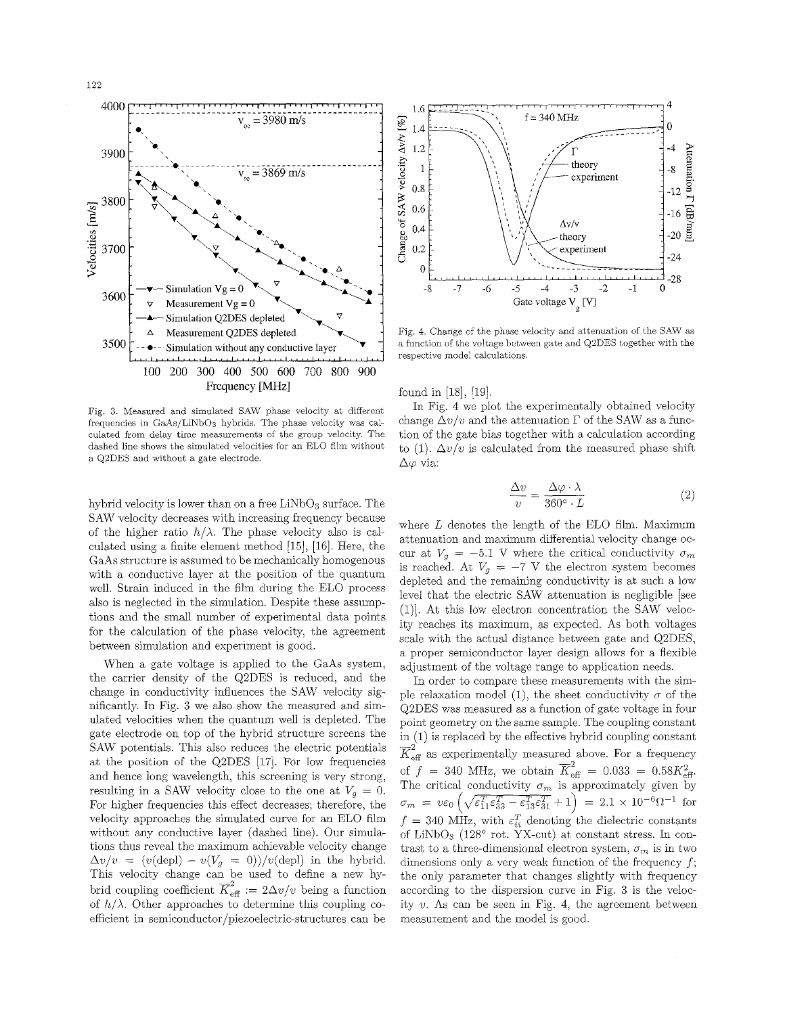

Fig. **3.** Measured and simulated SAW phase velocity at different frequencies in GaAs/LiNbOs hybrids. The phase velocity was calculated from delay time measurements of the group velocity. The dashed line shows the simulated velocities for an EL0 film without a Q2DES and without a gate electrode.

hybrid velocity is lower than on a free LiNbO<sub>3</sub> surface. The SAWvelocity decreases with increasing frequency because of the higher ratio  $h/\lambda$ . The phase velocity also is calculated using a finite element method [15],[16].Here, the GaAs structure is assumed to be mechanically homogenous with a conductive layer at the position of the quantum well. Strain induced in the film during the ELO process also is neglected in the simulation. Despite these assumptions and the small number of experimental data points for the calculation of the phase velocity, the agreement between simulation and experiment is good.

When a gate voltage is applied to the GaAs system, the carrier density of the Q2DES is reduced, and the change in conductivity influences the SAW velocity significantly. In Fig. *3* we also show the measured and simulated velocities when the quantum well is depleted. The gate electrode on top of the hybrid structure screens the SAW potentials. This also reduces the electric potentials at the position of the Q2DES [17]. For low frequencies and hence long wavelength, this screening is very strong, resulting in a SAW velocity close to the one at  $V_q = 0$ . For higher frequencies this effect decreases; therefore, the velocity approaches the simulated curve for an EL0 film without any conductive layer (dashed line). Our simulations thus reveal the maximum achievable velocity change  $\Delta v/v = (v(\text{depl}) - v(V_g = 0))/v(\text{depl})$  in the hybrid. This velocity change can be used to define a new hybrid coupling coefficient  $\overline{K}_{\text{eff}}^2 := 2\Delta v/v$  being a function of  $h/\lambda$ . Other approaches to determine this coupling coefficient in semiconductor/piezoelectric-structures can be



Fig. 4. Change of the phase velocity and attenuation of the SAW as a function of the voltage between gate and Q2DES together with the respective model calculations.

found in [18], [19].

In Fig. 4 we plot the experimentally obtained velocity change  $\Delta v/v$  and the attenuation  $\Gamma$  of the SAW as a function of the gate bias together with a calculation according to (1).  $\Delta v/v$  is calculated from the measured phase shift  $\Delta\varphi$  via:

$$
\frac{\Delta v}{v} = \frac{\Delta \varphi \cdot \lambda}{360^\circ \cdot L}
$$
 (2)

where  $L$  denotes the length of the ELO film. Maximum attenuation and maximum differential velocity change occur at  $V_g = -5.1$  V where the critical conductivity  $\sigma_m$ is reached. At  $V_g = -7$  V the electron system becomes depleted and the remaining conductivity is at such a low level that the electric SAW attenuation is negligible [see (l)].At this low electron concentration the SAW velocity reaches its maximum, as expected. As both voltages scale with the actual distance between gate and Q2DES, a proper semiconductor layer design allows for a flexible adjustment of the voltage range to application needs.

In order to compare these measurements with the simple relaxation model (1), the sheet conductivity  $\sigma$  of the Q2DES was measured as a function of gate voltage in four point geometry on the same sample. The coupling constant in **(I)** is replaced by the effective hybrid coupling constant  $\overline{K}_{\text{eff}}^2$  as experimentally measured above. For a frequency of  $f = 340 \text{ MHz}$ , we obtain  $\overline{K}_{\text{eff}}^2 = 0.033 = 0.58K_{\text{eff}}^2$ . The critical conductivity  $\sigma_m$  is approximately given by  $\sigma_m = v \varepsilon_0 \left( \sqrt{\varepsilon_{11}^T \varepsilon_{33}^T - \varepsilon_{13}^T \varepsilon_{31}^T} + 1 \right) = 2.1 \times 10^{-6} \Omega^{-1}$  for  $f = 340$  MHz, with  $\varepsilon_{ii}^T$  denoting the dielectric constants of  $LiNbO<sub>3</sub>$  (128° rot. YX-cut) at constant stress. In contrast to a three-dimensional electron system,  $\sigma_m$  is in two dimensions only a very weak function of the frequency *f ;* the only parameter that changes slightly with frequency according to the dispersion curve in Fig. *3* is the velocity  $v$ . As can be seen in Fig. 4, the agreement between measurement and the model is good. .<br>7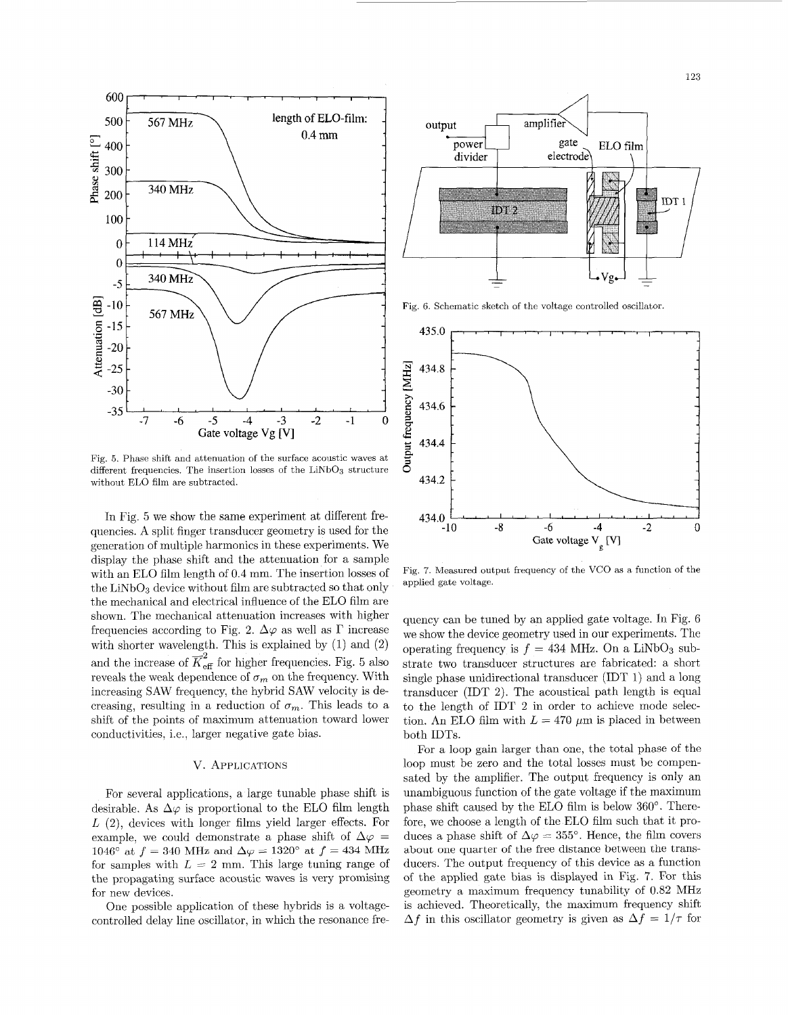

Fig. 5. Phase shift and attenuation of the surface acoustic waves at different frequencies. The insertion losses of the  $LiNbO<sub>3</sub>$  structure without EL0 film are subtracted.

In Fig. 5 we show the same experiment at different frequencies. A split finger transducer geometry is used for the generation of multiple harmonics in these experiments. We display the phase shift and the attenuation for a sample with an EL0 film length of 0.4 mm. The insertion losses of the  $LiNbO<sub>3</sub>$  device without film are subtracted so that only the mechanical and electrical influence of the EL0 film are shown. The mechanical attenuation increases with higher frequencies according to Fig. 2.  $\Delta\varphi$  as well as  $\Gamma$  increase with shorter wavelength. This is explained by  $(1)$  and  $(2)$ and the increase of  $\overline{K}_{\text{eff}}^2$  for higher frequencies. Fig. 5 also reveals the weak dependence of  $\sigma_m$  on the frequency. With increasing SAW frequency, the hybrid SAW velocity is decreasing, resulting in a reduction of  $\sigma_m$ . This leads to a shift of the points of maximum attenuation toward lower conductivities, i.e., larger negative gate bias.

# V. APPLICATIONS

For several applications, a large tunable phase shift is desirable. As  $\Delta\varphi$  is proportional to the ELO film length *L* (2), devices with longer films yield larger effects. For example, we could demonstrate a phase shift of  $\Delta \varphi =$ 1046° at  $f = 340$  MHz and  $\Delta \varphi = 1320$ ° at  $f = 434$  MHz for samples with  $L = 2$  mm. This large tuning range of the propagating surface acoustic waves is very promising for new devices.

One possible application of these hybrids is a voltagecontrolled delay line oscillator, in which the resonance fre-



Fig. 6. Schematic sketch of the voltage controlled oscillator



Fig. 7. Measured output frequency of the VCO as a function of the applied gate voltage.

quency can be tuned by an applied gate voltage. In Fig. 6 we show the device geometry used in our experiments. The operating frequency is  $f = 434$  MHz. On a LiNbO<sub>3</sub> substrate two transducer structures are fabricated: a short single phase unidirectional transducer (IDT 1) and a long transducer (IDT 2). The acoustical path length is equal to the length of IDT 2 in order to achieve mode selection. An ELO film with  $L = 470 \ \mu m$  is placed in between both IDTs.

For a loop gain larger than one, the total phase of the loop must be zero and the total losses must be compensated by the amplifier. The output frequency is only an unambiguous function of the gate voltage if the maximum phase shift caused by the ELO film is below 360°. Therefore, we choose a length of the EL0 film such that it produces a phase shift of  $\Delta \varphi = 355^{\circ}$ . Hence, the film covers about one quarter of the free distance between the transducers. The output frequency of this device as a function of the applied gate bias is displayed in Fig. 7. For this geometry a maximum frequency tunability of 0.82 MHz is achieved. Theoretically, the maximum frequency shift  $\Delta f$  in this oscillator geometry is given as  $\Delta f = 1/\tau$  for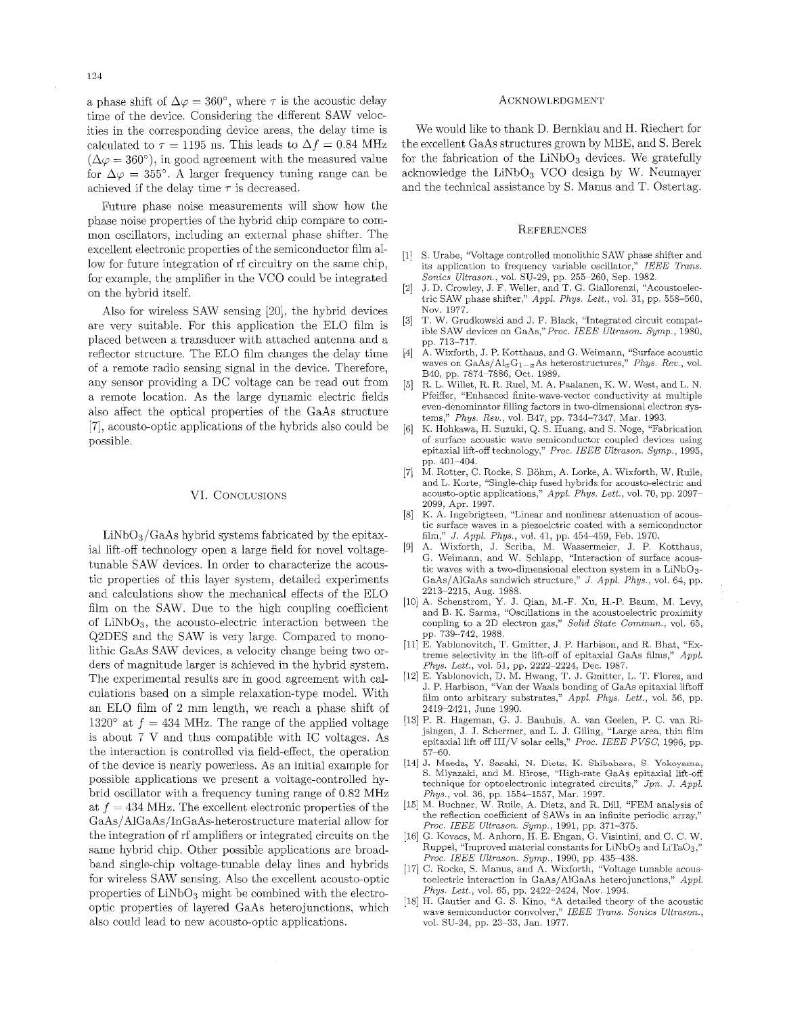a phase shift of  $\Delta \varphi = 360^{\circ}$ , where  $\tau$  is the acoustic delay time of the device. Considering the different SAW velocities in the corresponding device areas, the delay time is calculated to  $\tau = 1195$  ns. This leads to  $\Delta f = 0.84$  MHz  $(\Delta \varphi = 360^{\circ})$ , in good agreement with the measured value for  $\Delta \varphi = 355^{\circ}$ . A larger frequency tuning range can be achieved if the delay time  $\tau$  is decreased.

Future phase noise measurements will show how the phase noise properties of the hybrid chip compare to common oscillators, including an external phase shifter. The excellent electronic properties of the semiconductor film allow for future integration of rf circuitry on the same chip, for example, the amplifier in the VCO could be integrated on the hybrid itself.

Also for wireless SAW sensing [20], the hybrid devices are very suitable. For this application the EL0 film is placed between a transducer with attached antenna and a reflector structure. The EL0 film changes the delay time of a remote radio sensing signal in the device. Therefore, any sensor providing a DC voltage can be read out from a remote location. As the large dynamic electric fields also affect the optical properties of the GaAs structure *[7],*acousto-optic applications of the hybrids also could be possible.

### VI. CONCLUSIONS

 $LiNbO<sub>3</sub>/GaAs$  hybrid systems fabricated by the epitaxial lift-off technology open a large field for novel voltagetunable SAW devices. In order to characterize the acoustic properties of this layer system, detailed experiments and calculations show the mechanical effects of the EL0 film on the SAW. Due to the high coupling coefficient of LiNb03, the acousto-electric interaction between the Q2DES and the SAW is very large. Compared to monolithic GaAs SAW devices, a velocity change being two orders of magnitude larger is achieved in the hybrid system. The experimental results are in good agreement with calculations based on a simple relaxation-type model. With an EL0 film of 2 mm length, we reach a phase shift of 1320° at  $f = 434$  MHz. The range of the applied voltage is about 7 V and thus compatible with IC voltages. As the interaction is controlled via field-effect, the operation of the device is nearly powerless. As an initial example for possible applications we present a voltage-controlled hybrid oscillator with a frequency tuning range of 0.82 MHz at  $f = 434$  MHz. The excellent electronic properties of the GaAs/AlGaAs/InGaAs-heterostructure material allow for the integration of rf amplifiers or integrated circuits on the same hybrid chip. Other possible applications are broadband single-chip voltage-tunable delay lines and hybrids for wireless SAW sensing. Also the excellent acousto-optic properties of  $LiNbO<sub>3</sub>$  might be combined with the electrooptic properties of layered GaAs heterojunctions, which also could lead to new acousto-optic applications.

#### ACKNOWLEDGMENT

We would like to thank D. Bernklau and H. Riechert for the excellent GaAs structures grown by MBE, and S. Berek for the fabrication of the  $LiNbO<sub>3</sub>$  devices. We gratefully acknowledge the  $LiNbO<sub>3</sub>$  VCO design by W. Neumayer and the technical assistance by S.Manus and T. Ostertag.

#### **REFERENCES**

- [1] S. Urabe, "Voltage controlled monolithic SAW phase shifter and its application to frequency variable oscillator," *IEEE Trans. Sonics Ultrason.,* vol. SU-29, pp. 255-260, Sep. 1982.
- J. D. Crowley, J. F. Weller, and T. G. Giallorenzi, "Acoustoelec- $[2]$ tric SAW phase shifter," *Appl. Phys. Lett.*, vol. 31, pp. 558-560, Nov. 1977.
- T. W. Grudkowski and J. F. Black, "Integrated circuit compat- $[3]$ ible SAW devices on GaAs,"*Proc. IEEE Ultrason.* Symp., 1980, pp. 713-717.
- A. Wixforth, J. P. Kotthaus, and G. Weimann, "Surface acoustic  $[4]$ waves on  $GaAs/Al_xG_{1-x}As$  heterostructures," *Phys. Rev.*, vol. B40, pp. 7874-7886, Oct. 1989.
- $[5]$ R. L. Willet, R. R. Ruel, M. A. Paalanen, K. W. West, and L. N. Pfeiffer, "Enhanced finite-wave-vector conductivity at multiple even-denominator filling factors in two-dimensional electron systems," *Phys. Rev.,* vol. B47, pp. 7344-7347, Mar. 1993.
- $[6]$ K. Hohkawa, H. Suzuki, Q. S. Huang, and S. Noge, "Fabrication of surface acoustic wave semiconductor coupled devices using epitaxial lift-off technology," *Proc. IEEE Ultrason.* Symp., 1995, pp. 401-404.
- M. Rotter, C. Rocke, S.Bohm, A. Lorke, A. Wixforth, W. Ruile,  $[7]$ and L. Korte, "Single-chip fused hybrids for acousto-electric and acousto-optic applications," *Appl. Phys. Lett.,* vol. 70, pp. 2097- 2099, Apr. 1997.
- $\lceil 8 \rceil$ **E(.**A. Ingebrigtsen, "Linear and nonlinear attenuation of acoustic surface waves in a piezoelctric coated with a semiconductor film."  $J.$  Appl. Phys., vol. 41, pp. 454-459, Feb. 1970. film," *J . Ap p l . Phys.,* vol. 41, pp. 454-459, Feb. 1970.
- A. Wixforth, J. Scriba, M. Wassermeier, J. P. Kotthaus,  $[9]$ G. Weimann, and W. Schlapp, "Interaction of surface acoustic waves with a two-dimensional electron system in a  $LiNbO<sub>3</sub>$ -GaAs/AlGaAs sandwich structure," *J . Appl. Phys.,* vol. 64, pp. 2213-2215, Aug. 1988.
- [10] A. Schenstrom, Y. J. Qian, M.-F. Xu, H.-P. Baum, M. Levy, and B. K. Sarma, "Oscillations in the acoustoelectric proximity coupling to a 2D electron gas," *Solid State Commun.,* vol. 65, pp. 739-742, 1988.
- E. Yablonovitch, T. Gmitter, J. P. Harbison, and R. Bhat, "Extreme selectivity in the lift-off of epitaxial GaAs films," *Appl. Phys. Lett.,* vol. 51, pp. 2222-2224, Dec. 1987.
- $[12]$ E. Yablonovich, D. M. Hwang, T. J. Gmitter, L. T. Florez, and J. P. Harbison, "Van der Waals bonding of GaAs epitaxial liftoff film onto arbitrary substrates," *Appl. Phys. Lett.*, vol. 56, pp. 2419-2421, June 1990.
- P. R. Hageman, G. J. Bauhuis, A. van Geelen, P. C. van Rijsingen, J. J. Schermer, and L. J. Giling, "Large area, thin film epitaxial lift off III/V solar cells," *Proc. IEEE PVSC,* 1996, pp. 57-60.
- J. **Maeda,** *Y .* Sasaki, N. Diete, K. Shibahara, *<sup>S</sup> .* Yokoyama, S.Miyaaaki, and M. Hirose, "High-rate GaAs epitaxial lift-off technique for optoelectronic integrated circuits," *Jpn. J. Appl. Phys.,* vol. 36, pp. 1554-1557, Mar. 1997.
- [15] M. Buchner, W. Ruile, A. Dietz, and R. Dill, "FEM analysis of the reflection coefficient of SAWS in an infinite periodic array," *Proc. IEEE Ultrason. Symp.,* 1991, pp. 371-375.
- [16] G. Kovacs, M. Anhorn, H. E. Engan, G. Visintini, and C. C. W. Ruppel, "Improved material constants for LiNbO<sub>3</sub> and LiTaO<sub>3</sub>," *PTOC.IEEE Ultrason. Symp.,* 1990, pp. 435-438.
- [17] C. Rocke, S. Manus, and A. Wixforth, "Voltage tunable acoustoelectric interaction in GaAs/AlGaAs heterojunctions," Appl. *Phys. Lett.,* vol. *65,* pp. 2422-2424, Nov. 1994.
- [18] H. Gautier and G. S. Kino, "A detailed theory of the acoustic wave semiconductor convolver," *IEEE Trans. Sonics Ultrason.,* vol. SU-24, pp. 23-33, Jan. 1977.